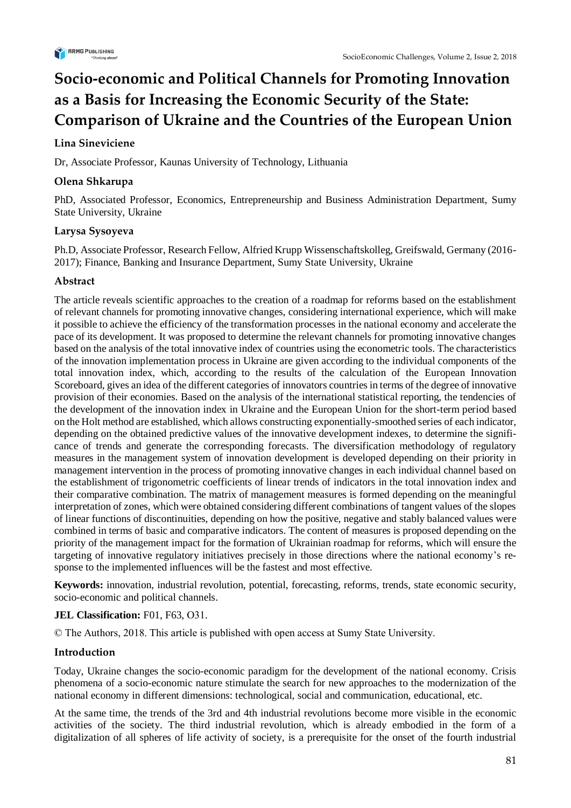

# **Socio-economic and Political Channels for Promoting Innovation as a Basis for Increasing the Economic Security of the State: Comparison of Ukraine and the Countries of the European Union**

# **Lina Sineviciene**

Dr, Associate Professor, Kaunas University of Technology, Lithuania

# **Olena Shkarupa**

PhD, Associated Professor, Economics, Entrepreneurship and Business Administration Department, Sumy State University, Ukraine

# **Larysa Sysoyeva**

Ph.D, Associate Professor, Research Fellow, Alfried Krupp Wissenschaftskolleg, Greifswald, Germany (2016- 2017); Finance, Banking and Insurance Department, Sumy State University, Ukraine

# **Abstract**

The article reveals scientific approaches to the creation of a roadmap for reforms based on the establishment of relevant channels for promoting innovative changes, considering international experience, which will make it possible to achieve the efficiency of the transformation processes in the national economy and accelerate the pace of its development. It was proposed to determine the relevant channels for promoting innovative changes based on the analysis of the total innovative index of countries using the econometric tools. The characteristics of the innovation implementation process in Ukraine are given according to the individual components of the total innovation index, which, according to the results of the calculation of the European Innovation Scoreboard, gives an idea of the different categories of innovators countries in terms of the degree of innovative provision of their economies. Based on the analysis of the international statistical reporting, the tendencies of the development of the innovation index in Ukraine and the European Union for the short-term period based on the Holt method are established, which allows constructing exponentially-smoothed series of each indicator, depending on the obtained predictive values of the innovative development indexes, to determine the significance of trends and generate the corresponding forecasts. The diversification methodology of regulatory measures in the management system of innovation development is developed depending on their priority in management intervention in the process of promoting innovative changes in each individual channel based on the establishment of trigonometric coefficients of linear trends of indicators in the total innovation index and their comparative combination. The matrix of management measures is formed depending on the meaningful interpretation of zones, which were obtained considering different combinations of tangent values of the slopes of linear functions of discontinuities, depending on how the positive, negative and stably balanced values were combined in terms of basic and comparative indicators. The content of measures is proposed depending on the priority of the management impact for the formation of Ukrainian roadmap for reforms, which will ensure the targeting of innovative regulatory initiatives precisely in those directions where the national economy's response to the implemented influences will be the fastest and most effective.

**Keywords:** innovation, industrial revolution, potential, forecasting, reforms, trends, state economic security, socio-economic and political channels.

# **JEL Classification:** F01, F63, O31.

© The Authors, 2018. This article is published with open access at Sumy State University.

# **Introduction**

Today, Ukraine changes the socio-economic paradigm for the development of the national economy. Crisis phenomena of a socio-economic nature stimulate the search for new approaches to the modernization of the national economy in different dimensions: technological, social and communication, educational, etc.

At the same time, the trends of the 3rd and 4th industrial revolutions become more visible in the economic activities of the society. The third industrial revolution, which is already embodied in the form of a digitalization of all spheres of life activity of society, is a prerequisite for the onset of the fourth industrial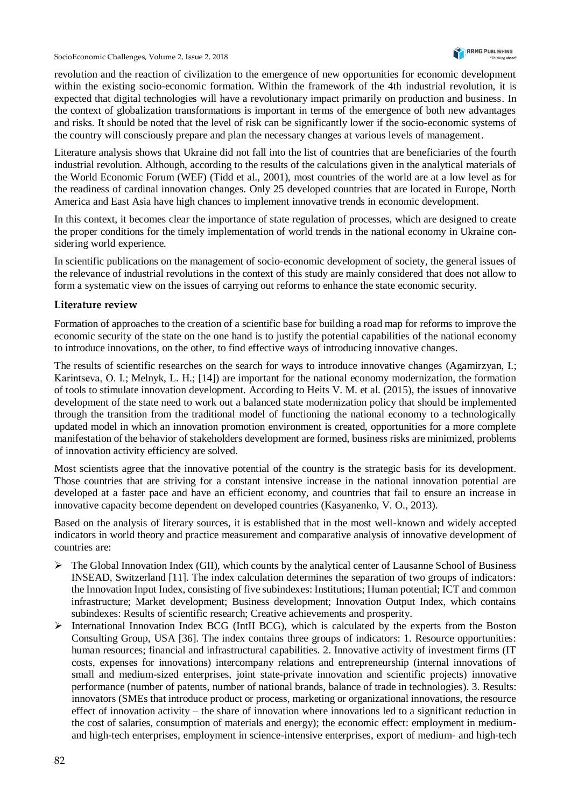revolution and the reaction of civilization to the emergence of new opportunities for economic development within the existing socio-economic formation. Within the framework of the 4th industrial revolution, it is expected that digital technologies will have a revolutionary impact primarily on production and business. In the context of globalization transformations is important in terms of the emergence of both new advantages and risks. It should be noted that the level of risk can be significantly lower if the socio-economic systems of the country will consciously prepare and plan the necessary changes at various levels of management.

Literature analysis shows that Ukraine did not fall into the list of countries that are beneficiaries of the fourth industrial revolution. Although, according to the results of the calculations given in the analytical materials of the World Economic Forum (WEF) (Tidd et al., 2001), most countries of the world are at a low level as for the readiness of cardinal innovation changes. Only 25 developed countries that are located in Europe, North America and East Asia have high chances to implement innovative trends in economic development.

In this context, it becomes clear the importance of state regulation of processes, which are designed to create the proper conditions for the timely implementation of world trends in the national economy in Ukraine considering world experience.

In scientific publications on the management of socio-economic development of society, the general issues of the relevance of industrial revolutions in the context of this study are mainly considered that does not allow to form a systematic view on the issues of carrying out reforms to enhance the state economic security.

## **Literature review**

Formation of approaches to the creation of a scientific base for building a road map for reforms to improve the economic security of the state on the one hand is to justify the potential capabilities of the national economy to introduce innovations, on the other, to find effective ways of introducing innovative changes.

The results of scientific researches on the search for ways to introduce innovative changes (Agamirzyan, I.; Karintseva, О. І.; Melnyk, L. H.; [14]) are important for the national economy modernization, the formation of tools to stimulate innovation development. According to Heits V. M. et al. (2015), the issues of innovative development of the state need to work out a balanced state modernization policy that should be implemented through the transition from the traditional model of functioning the national economy to a technologically updated model in which an innovation promotion environment is created, opportunities for a more complete manifestation of the behavior of stakeholders development are formed, business risks are minimized, problems of innovation activity efficiency are solved.

Most scientists agree that the innovative potential of the country is the strategic basis for its development. Those countries that are striving for a constant intensive increase in the national innovation potential are developed at a faster pace and have an efficient economy, and countries that fail to ensure an increase in innovative capacity become dependent on developed countries (Kasyanenko, V. O., 2013).

Based on the analysis of literary sources, it is established that in the most well-known and widely accepted indicators in world theory and practice measurement and comparative analysis of innovative development of countries are:

- $\triangleright$  The Global Innovation Index (GII), which counts by the analytical center of Lausanne School of Business INSEAD, Switzerland [11]. The index calculation determines the separation of two groups of indicators: the Innovation Input Index, consisting of five subindexes: Institutions; Human potential; ICT and common infrastructure; Market development; Business development; Innovation Output Index, which contains subindexes: Results of scientific research; Creative achievements and prosperity.
- ➢ International Innovation Index BCG (IntII BCG), which is calculated by the experts from the Boston Consulting Group, USA [36]. The index contains three groups of indicators: 1. Resource opportunities: human resources; financial and infrastructural capabilities. 2. Innovative activity of investment firms (IT costs, expenses for innovations) intercompany relations and entrepreneurship (internal innovations of small and medium-sized enterprises, joint state-private innovation and scientific projects) innovative performance (number of patents, number of national brands, balance of trade in technologies). 3. Results: innovators (SMEs that introduce product or process, marketing or organizational innovations, the resource effect of innovation activity – the share of innovation where innovations led to a significant reduction in the cost of salaries, consumption of materials and energy); the economic effect: employment in mediumand high-tech enterprises, employment in science-intensive enterprises, export of medium- and high-tech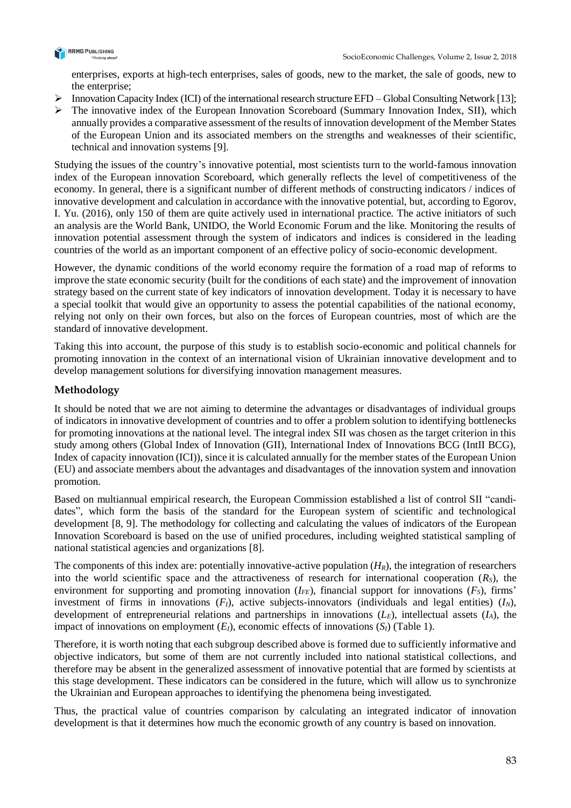

enterprises, exports at high-tech enterprises, sales of goods, new to the market, the sale of goods, new to the enterprise;

- $\triangleright$  Innovation Capacity Index (ICI) of the international research structure EFD Global Consulting Network [13];
- ➢ The innovative index of the European Innovation Scoreboard (Summary Innovation Index, SII), which annually provides a comparative assessment of the results of innovation development of the Member States of the European Union and its associated members on the strengths and weaknesses of their scientific, technical and innovation systems [9].

Studying the issues of the country's innovative potential, most scientists turn to the world-famous innovation index of the European innovation Scoreboard, which generally reflects the level of competitiveness of the economy. In general, there is a significant number of different methods of constructing indicators / indices of innovative development and calculation in accordance with the innovative potential, but, according to Egorov, I. Yu. (2016), only 150 of them are quite actively used in international practice. The active initiators of such an analysis are the World Bank, UNIDO, the World Economic Forum and the like. Monitoring the results of innovation potential assessment through the system of indicators and indices is considered in the leading countries of the world as an important component of an effective policy of socio-economic development.

However, the dynamic conditions of the world economy require the formation of a road map of reforms to improve the state economic security (built for the conditions of each state) and the improvement of innovation strategy based on the current state of key indicators of innovation development. Today it is necessary to have a special toolkit that would give an opportunity to assess the potential capabilities of the national economy, relying not only on their own forces, but also on the forces of European countries, most of which are the standard of innovative development.

Taking this into account, the purpose of this study is to establish socio-economic and political channels for promoting innovation in the context of an international vision of Ukrainian innovative development and to develop management solutions for diversifying innovation management measures.

# **Methodology**

It should be noted that we are not aiming to determine the advantages or disadvantages of individual groups of indicators in innovative development of countries and to offer a problem solution to identifying bottlenecks for promoting innovations at the national level. The integral index SII was chosen as the target criterion in this study among others (Global Index of Innovation (GII), International Index of Innovations BCG (IntII BCG), Index of capacity innovation (ICI)), since it is calculated annually for the member states of the European Union (EU) and associate members about the advantages and disadvantages of the innovation system and innovation promotion.

Based on multiannual empirical research, the European Commission established a list of control SII "candidates", which form the basis of the standard for the European system of scientific and technological development [8, 9]. The methodology for collecting and calculating the values of indicators of the European Innovation Scoreboard is based on the use of unified procedures, including weighted statistical sampling of national statistical agencies and organizations [8].

The components of this index are: potentially innovative-active population  $(H_R)$ , the integration of researchers into the world scientific space and the attractiveness of research for international cooperation  $(R<sub>S</sub>)$ , the environment for supporting and promoting innovation  $(I_{FE})$ , financial support for innovations  $(F_S)$ , firms' investment of firms in innovations  $(F<sub>I</sub>)$ , active subjects-innovators (individuals and legal entities)  $(I<sub>N</sub>)$ , development of entrepreneurial relations and partnerships in innovations (*LE*), intellectual assets (*IA*), the impact of innovations on employment  $(E_l)$ , economic effects of innovations  $(S_l)$  (Table 1).

Therefore, it is worth noting that each subgroup described above is formed due to sufficiently informative and objective indicators, but some of them are not currently included into national statistical collections, and therefore may be absent in the generalized assessment of innovative potential that are formed by scientists at this stage development. These indicators can be considered in the future, which will allow us to synchronize the Ukrainian and European approaches to identifying the phenomena being investigated.

Thus, the practical value of countries comparison by calculating an integrated indicator of innovation development is that it determines how much the economic growth of any country is based on innovation.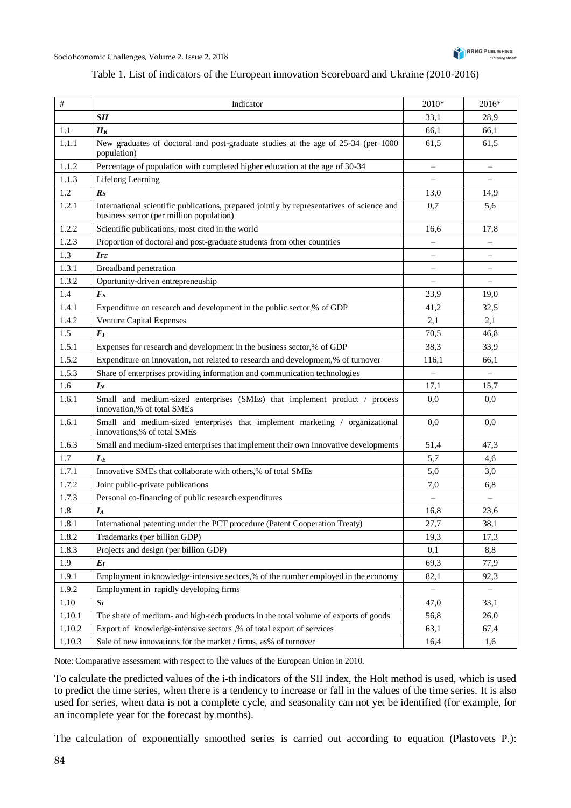

### Table 1. List of indicators of the European innovation Scoreboard and Ukraine (2010-2016)

| #      | Indicator                                                                                                                             | $2010*$                  | 2016*                    |
|--------|---------------------------------------------------------------------------------------------------------------------------------------|--------------------------|--------------------------|
|        | <b>SII</b>                                                                                                                            | 33,1                     | 28,9                     |
| 1.1    | $H_R$                                                                                                                                 | 66,1                     | 66,1                     |
| 1.1.1  | New graduates of doctoral and post-graduate studies at the age of 25-34 (per 1000<br>population)                                      | 61,5                     | 61,5                     |
| 1.1.2  | Percentage of population with completed higher education at the age of 30-34                                                          | $\qquad \qquad -$        | $\overline{\phantom{0}}$ |
| 1.1.3  | <b>Lifelong Learning</b>                                                                                                              |                          |                          |
| 1.2    | $\boldsymbol{R}_{S}$                                                                                                                  | 13,0                     | 14,9                     |
| 1.2.1  | International scientific publications, prepared jointly by representatives of science and<br>business sector (per million population) | 0,7                      | 5,6                      |
| 1.2.2  | Scientific publications, most cited in the world                                                                                      | 16,6                     | 17,8                     |
| 1.2.3  | Proportion of doctoral and post-graduate students from other countries                                                                | $\overline{\phantom{0}}$ | $\overline{\phantom{0}}$ |
| 1.3    | $I_{FE}$                                                                                                                              | $\qquad \qquad -$        | $\qquad \qquad -$        |
| 1.3.1  | Broadband penetration                                                                                                                 | $\qquad \qquad -$        | —                        |
| 1.3.2  | Oportunity-driven entrepreneuship                                                                                                     | $\qquad \qquad -$        | $\equiv$                 |
| 1.4    | $\boldsymbol{F}_{\boldsymbol{S}}$                                                                                                     | 23,9                     | 19,0                     |
| 1.4.1  | Expenditure on research and development in the public sector,% of GDP                                                                 | 41,2                     | 32,5                     |
| 1.4.2  | Venture Capital Expenses                                                                                                              | 2,1                      | 2,1                      |
| 1.5    | $F_I$                                                                                                                                 | 70,5                     | 46,8                     |
| 1.5.1  | Expenses for research and development in the business sector,% of GDP                                                                 | 38,3                     | 33,9                     |
| 1.5.2  | Expenditure on innovation, not related to research and development,% of turnover                                                      | 116,1                    | 66,1                     |
| 1.5.3  | Share of enterprises providing information and communication technologies                                                             | $\equiv$                 | $\overline{\phantom{0}}$ |
| 1.6    | $I_N$                                                                                                                                 | 17,1                     | 15,7                     |
| 1.6.1  | Small and medium-sized enterprises (SMEs) that implement product / process<br>innovation,% of total SMEs                              | 0,0                      | 0,0                      |
| 1.6.1  | Small and medium-sized enterprises that implement marketing / organizational<br>innovations,% of total SMEs                           | 0,0                      | 0,0                      |
| 1.6.3  | Small and medium-sized enterprises that implement their own innovative developments                                                   | 51,4                     | 47,3                     |
| 1.7    | $L_E$                                                                                                                                 | 5,7                      | 4,6                      |
| 1.7.1  | Innovative SMEs that collaborate with others,% of total SMEs                                                                          | 5,0                      | 3,0                      |
| 1.7.2  | Joint public-private publications                                                                                                     | 7,0                      | 6,8                      |
| 1.7.3  | Personal co-financing of public research expenditures                                                                                 |                          |                          |
| 1.8    | $I_A$                                                                                                                                 | 16,8                     | 23,6                     |
| 1.8.1  | International patenting under the PCT procedure (Patent Cooperation Treaty)                                                           | 27,7                     | 38,1                     |
| 1.8.2  | Trademarks (per billion GDP)                                                                                                          | 19,3                     | 17,3                     |
| 1.8.3  | Projects and design (per billion GDP)                                                                                                 | 0,1                      | 8,8                      |
| 1.9    | $E_I$                                                                                                                                 | 69,3                     | 77,9                     |
| 1.9.1  | Employment in knowledge-intensive sectors,% of the number employed in the economy                                                     | 82,1                     | 92,3                     |
| 1.9.2  | Employment in rapidly developing firms                                                                                                |                          |                          |
| 1.10   | $S_I$                                                                                                                                 | 47,0                     | 33,1                     |
| 1.10.1 | The share of medium- and high-tech products in the total volume of exports of goods                                                   | 56,8                     | 26,0                     |
| 1.10.2 | Export of knowledge-intensive sectors ,% of total export of services                                                                  | 63,1                     | 67,4                     |
| 1.10.3 | Sale of new innovations for the market / firms, as% of turnover                                                                       | 16,4                     | 1,6                      |

Note: Comparative assessment with respect to the values of the European Union in 2010.

To calculate the predicted values of the i-th indicators of the SII index, the Holt method is used, which is used to predict the time series, when there is a tendency to increase or fall in the values of the time series. It is also used for series, when data is not a complete cycle, and seasonality can not yet be identified (for example, for an incomplete year for the forecast by months).

The calculation of exponentially smoothed series is carried out according to equation (Plastovets P.):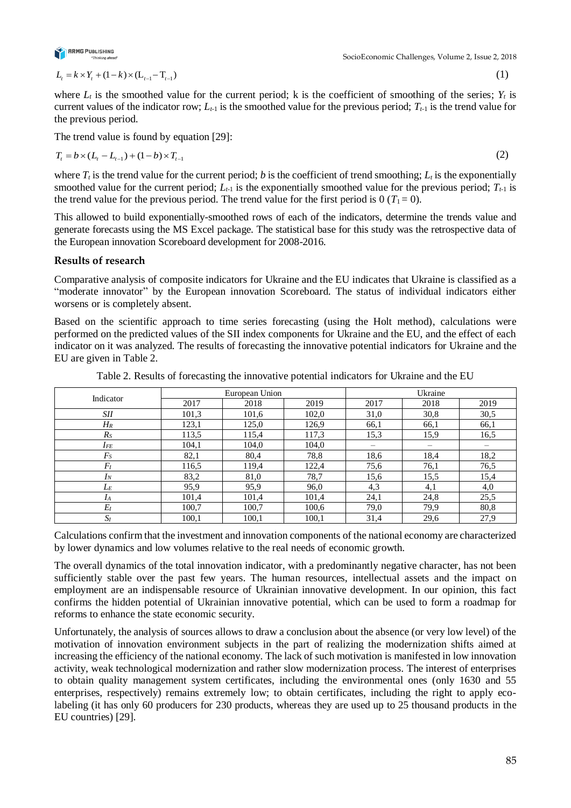

 $L_i = k \times Y_i + (1 - k) \times (L_{i-1} - T_{i-1})$ 

(1)

(2)

where  $L_t$  is the smoothed value for the current period; k is the coefficient of smoothing of the series;  $Y_t$  is current values of the indicator row;  $L_{t-1}$  is the smoothed value for the previous period;  $T_{t-1}$  is the trend value for the previous period.

The trend value is found by equation [29]:

$$
T_{t} = b \times (L_{t} - L_{t-1}) + (1 - b) \times T_{t-1}
$$

where  $T_t$  is the trend value for the current period; *b* is the coefficient of trend smoothing;  $L_t$  is the exponentially smoothed value for the current period;  $L_{t-1}$  is the exponentially smoothed value for the previous period;  $T_{t-1}$  is the trend value for the previous period. The trend value for the first period is  $0 (T_1 = 0)$ .

This allowed to build exponentially-smoothed rows of each of the indicators, determine the trends value and generate forecasts using the MS Excel package. The statistical base for this study was the retrospective data of the European innovation Scoreboard development for 2008-2016.

# **Results of research**

Comparative analysis of composite indicators for Ukraine and the EU indicates that Ukraine is classified as a "moderate innovator" by the European innovation Scoreboard. The status of individual indicators either worsens or is completely absent.

Based on the scientific approach to time series forecasting (using the Holt method), calculations were performed on the predicted values of the SII index components for Ukraine and the EU, and the effect of each indicator on it was analyzed. The results of forecasting the innovative potential indicators for Ukraine and the EU are given in Table 2.

| Indicator  |       | European Union |       | Ukraine |      |      |
|------------|-------|----------------|-------|---------|------|------|
|            | 2017  | 2018           | 2019  | 2017    | 2018 | 2019 |
| <b>SII</b> | 101,3 | 101,6          | 102,0 | 31,0    | 30,8 | 30,5 |
| $H_{R}$    | 123,1 | 125,0          | 126,9 | 66,1    | 66,1 | 66,1 |
| $R_S$      | 113.5 | 115,4          | 117,3 | 15,3    | 15,9 | 16,5 |
| $I_{FE}$   | 104,1 | 104,0          | 104,0 | —       |      |      |
| $F_S$      | 82,1  | 80,4           | 78,8  | 18,6    | 18,4 | 18,2 |
| $F_I$      | 116.5 | 119,4          | 122,4 | 75,6    | 76,1 | 76,5 |
| $I_N$      | 83,2  | 81,0           | 78,7  | 15,6    | 15,5 | 15,4 |
| $L_E$      | 95,9  | 95,9           | 96,0  | 4,3     | 4,1  | 4,0  |
| $I_A$      | 101,4 | 101,4          | 101,4 | 24,1    | 24,8 | 25,5 |
| $E_I$      | 100.7 | 100,7          | 100,6 | 79,0    | 79,9 | 80,8 |
| $S_I$      | 100,1 | 100,1          | 100,1 | 31,4    | 29,6 | 27,9 |

Table 2. Results of forecasting the innovative potential indicators for Ukraine and the EU

Calculations confirm that the investment and innovation components of the national economy are characterized by lower dynamics and low volumes relative to the real needs of economic growth.

The overall dynamics of the total innovation indicator, with a predominantly negative character, has not been sufficiently stable over the past few years. The human resources, intellectual assets and the impact on employment are an indispensable resource of Ukrainian innovative development. In our opinion, this fact confirms the hidden potential of Ukrainian innovative potential, which can be used to form a roadmap for reforms to enhance the state economic security.

Unfortunately, the analysis of sources allows to draw a conclusion about the absence (or very low level) of the motivation of innovation environment subjects in the part of realizing the modernization shifts aimed at increasing the efficiency of the national economy. The lack of such motivation is manifested in low innovation activity, weak technological modernization and rather slow modernization process. The interest of enterprises to obtain quality management system certificates, including the environmental ones (only 1630 and 55 enterprises, respectively) remains extremely low; to obtain certificates, including the right to apply ecolabeling (it has only 60 producers for 230 products, whereas they are used up to 25 thousand products in the EU countries) [29].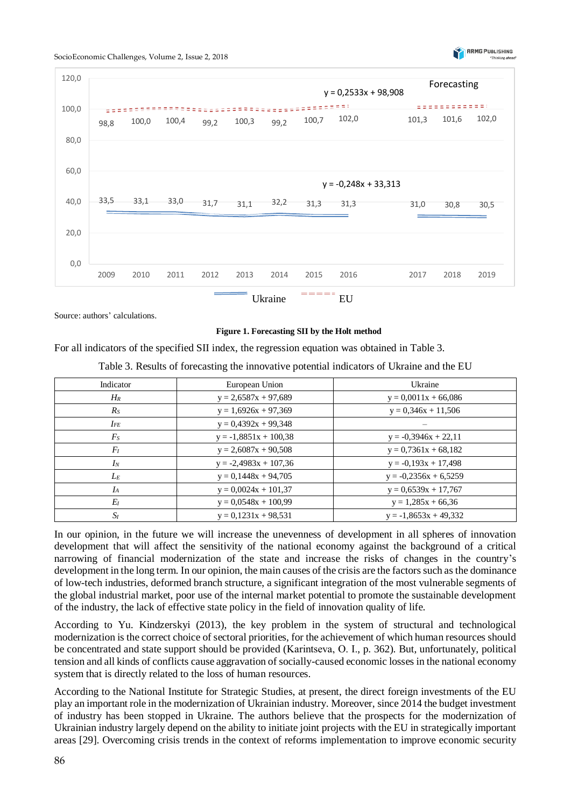





Source: authors' calculations.

#### **Figure 1. Forecasting SII by the Holt method**

For all indicators of the specified SII index, the regression equation was obtained in Table 3.

Table 3. Results of forecasting the innovative potential indicators of Ukraine and the EU

| Indicator | European Union          | Ukraine                 |
|-----------|-------------------------|-------------------------|
| $H_R$     | $y = 2,6587x + 97,689$  | $y = 0,0011x + 66,086$  |
| $R_S$     | $y = 1,6926x + 97,369$  | $y = 0.346x + 11.506$   |
| $I_{FE}$  | $y = 0,4392x + 99,348$  |                         |
| $F_S$     | $y = -1,8851x + 100,38$ | $y = -0,3946x + 22,11$  |
| $F_I$     | $y = 2,6087x + 90,508$  | $y = 0,7361x + 68,182$  |
| $I_N$     | $y = -2,4983x + 107,36$ | $y = -0.193x + 17.498$  |
| $L_E$     | $y = 0,1448x + 94,705$  | $y = -0,2356x + 6,5259$ |
| $I_A$     | $y = 0.0024x + 101.37$  | $y = 0.6539x + 17,767$  |
| $E_I$     | $y = 0.0548x + 100.99$  | $y = 1,285x + 66,36$    |
| $S_I$     | $y = 0.1231x + 98.531$  | $y = -1,8653x + 49,332$ |

In our opinion, in the future we will increase the unevenness of development in all spheres of innovation development that will affect the sensitivity of the national economy against the background of a critical narrowing of financial modernization of the state and increase the risks of changes in the country's development in the long term. In our opinion, the main causes of the crisis are the factors such as the dominance of low-tech industries, deformed branch structure, a significant integration of the most vulnerable segments of the global industrial market, poor use of the internal market potential to promote the sustainable development of the industry, the lack of effective state policy in the field of innovation quality of life.

According to Yu. Kindzerskyi (2013), the key problem in the system of structural and technological modernization is the correct choice of sectoral priorities, for the achievement of which human resources should be concentrated and state support should be provided (Karintseva, О. І., p. 362). But, unfortunately, political tension and all kinds of conflicts cause aggravation of socially-caused economic losses in the national economy system that is directly related to the loss of human resources.

According to the National Institute for Strategic Studies, at present, the direct foreign investments of the EU play an important role in the modernization of Ukrainian industry. Moreover, since 2014 the budget investment of industry has been stopped in Ukraine. The authors believe that the prospects for the modernization of Ukrainian industry largely depend on the ability to initiate joint projects with the EU in strategically important areas [29]. Overcoming crisis trends in the context of reforms implementation to improve economic security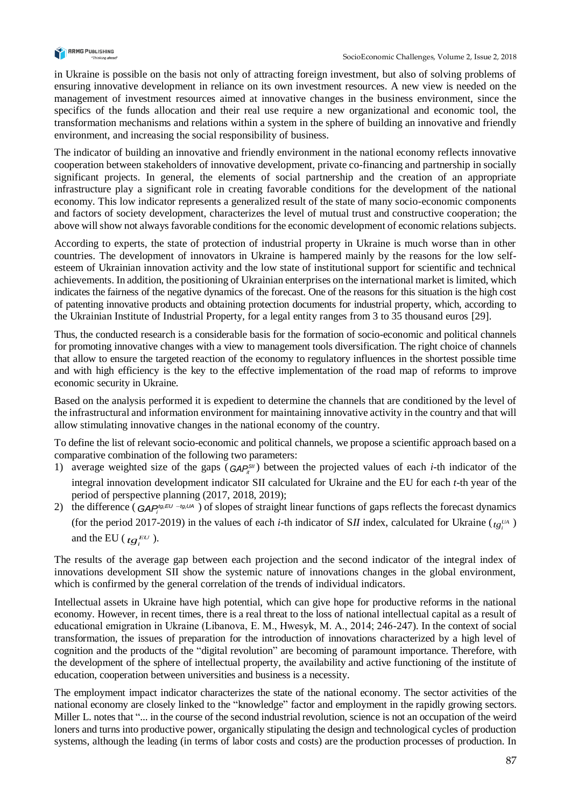

in Ukraine is possible on the basis not only of attracting foreign investment, but also of solving problems of ensuring innovative development in reliance on its own investment resources. A new view is needed on the management of investment resources aimed at innovative changes in the business environment, since the specifics of the funds allocation and their real use require a new organizational and economic tool, the transformation mechanisms and relations within a system in the sphere of building an innovative and friendly environment, and increasing the social responsibility of business.

The indicator of building an innovative and friendly environment in the national economy reflects innovative cooperation between stakeholders of innovative development, private co-financing and partnership in socially significant projects. In general, the elements of social partnership and the creation of an appropriate infrastructure play a significant role in creating favorable conditions for the development of the national economy. This low indicator represents a generalized result of the state of many socio-economic components and factors of society development, characterizes the level of mutual trust and constructive cooperation; the above will show not always favorable conditions for the economic development of economic relations subjects.

According to experts, the state of protection of industrial property in Ukraine is much worse than in other countries. The development of innovators in Ukraine is hampered mainly by the reasons for the low selfesteem of Ukrainian innovation activity and the low state of institutional support for scientific and technical achievements. In addition, the positioning of Ukrainian enterprises on the international market is limited, which indicates the fairness of the negative dynamics of the forecast. One of the reasons for this situation is the high cost of patenting innovative products and obtaining protection documents for industrial property, which, according to the Ukrainian Institute of Industrial Property, for a legal entity ranges from 3 to 35 thousand euros [29].

Thus, the conducted research is a considerable basis for the formation of socio-economic and political channels for promoting innovative changes with a view to management tools diversification. The right choice of channels that allow to ensure the targeted reaction of the economy to regulatory influences in the shortest possible time and with high efficiency is the key to the effective implementation of the road map of reforms to improve economic security in Ukraine.

Based on the analysis performed it is expedient to determine the channels that are conditioned by the level of the infrastructural and information environment for maintaining innovative activity in the country and that will allow stimulating innovative changes in the national economy of the country.

To define the list of relevant socio-economic and political channels, we propose a scientific approach based on a comparative combination of the following two parameters:

- 1) average weighted size of the gaps  $(GAP<sub>i</sub><sup>SII</sup>)$  between the projected values of each *i*-th indicator of the integral innovation development indicator SII calculated for Ukraine and the EU for each *t*-th year of the period of perspective planning (2017, 2018, 2019);
- 2) the difference ( $GAP_i^{tg_iEU tg_jUA}$ ) of slopes of straight linear functions of gaps reflects the forecast dynamics (for the period 2017-2019) in the values of each *i*-th indicator of *SII* index, calculated for Ukraine ( $t g_i^{U_A}$ ) and the EU ( $t g_i^{EU}$ ).

The results of the average gap between each [projection](http://context.reverso.net/%D0%BF%D0%B5%D1%80%D0%B5%D0%B2%D0%BE%D0%B4/%D0%B0%D0%BD%D0%B3%D0%BB%D0%B8%D0%B9%D1%81%D0%BA%D0%B8%D0%B9-%D1%80%D1%83%D1%81%D1%81%D0%BA%D0%B8%D0%B9/Projections) and the second indicator of the integral index of innovations development SII show the systemic nature of innovations changes in the global environment, which is confirmed by the general correlation of the trends of individual indicators.

Intellectual assets in Ukraine have high potential, which can give hope for productive reforms in the national economy. However, in recent times, there is a real threat to the loss of national intellectual capital as a result of educational emigration in Ukraine (Libanova, E. M., Hwesyk, M. А., 2014; 246-247). In the context of social transformation, the issues of preparation for the introduction of innovations characterized by a high level of cognition and the products of the "digital revolution" are becoming of paramount importance. Therefore, with the development of the sphere of intellectual property, the availability and active functioning of the institute of education, cooperation between universities and business is a necessity.

The employment impact indicator characterizes the state of the national economy. The sector activities of the national economy are closely linked to the "knowledge" factor and employment in the rapidly growing sectors. Miller L. notes that "... in the course of the second industrial revolution, science is not an occupation of the weird loners and turns into productive power, organically stipulating the design and technological cycles of production systems, although the leading (in terms of labor costs and costs) are the production processes of production. In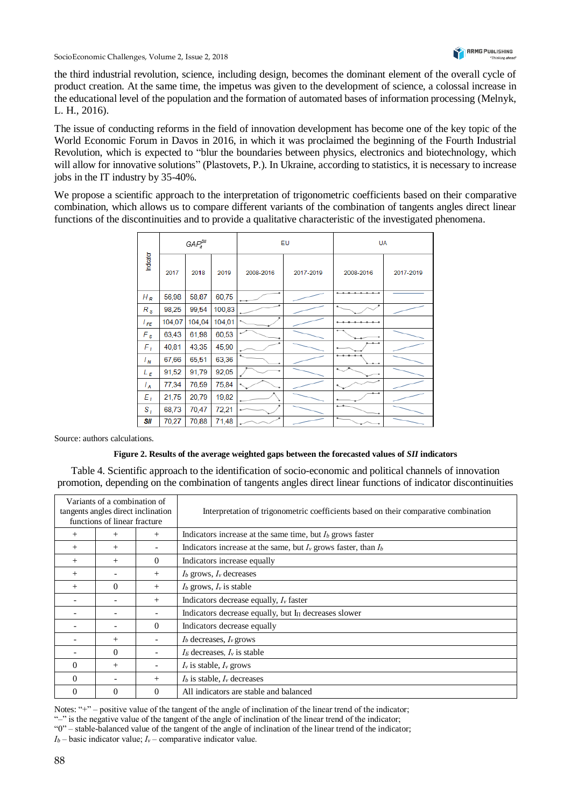the third industrial revolution, science, including design, becomes the dominant element of the overall cycle of product creation. At the same time, the impetus was given to the development of science, a colossal increase in the educational level of the population and the formation of automated bases of information processing (Melnyk, L. H., 2016).

The issue of conducting reforms in the field of innovation development has become one of the key topic of the World Economic Forum in Davos in 2016, in which it was proclaimed the beginning of the Fourth Industrial Revolution, which is expected to "blur the boundaries between physics, electronics and biotechnology, which will allow for innovative solutions" (Plastovets, P.). In Ukraine, according to statistics, it is necessary to increase jobs in the IT industry by 35-40%.

We propose a scientific approach to the interpretation of trigonometric coefficients based on their comparative combination, which allows us to compare different variants of the combination of tangents angles direct linear functions of the discontinuities and to provide a qualitative characteristic of the investigated phenomena.

|                 | $GAP_t^{\text{SII}}$ |        | EU     |           | <b>UA</b> |                                                          |           |
|-----------------|----------------------|--------|--------|-----------|-----------|----------------------------------------------------------|-----------|
| Indicator       | 2017                 | 2018   | 2019   | 2008-2016 | 2017-2019 | 2008-2016                                                | 2017-2019 |
| $H_R$           | 56,98                | 58,87  | 60,75  |           |           | $\cdots$                                                 |           |
| $R_{s}$         | 98,25                | 99,54  | 100,83 |           |           |                                                          |           |
| l <sub>FE</sub> | 104,07               | 104,04 | 104,01 |           |           |                                                          |           |
| $F_{s}$         | 63,43                | 61,98  | 60,53  |           |           |                                                          |           |
| $F_L$           | 40,81                | 43,35  | 45,90  |           |           |                                                          |           |
| $I_N$           | 67,66                | 65,51  | 63,36  |           |           | $\overline{\phantom{a}}$                                 |           |
| $L_{E}$         | 91,52                | 91,79  | 92,05  |           |           | ÷.                                                       |           |
| $I_A$           | 77,34                | 76,59  | 75,84  |           |           |                                                          |           |
| $E_I$           | 21,75                | 20,79  | 19,82  |           |           | $^{\tiny{\text{+}}\, \tiny{\text{+}}\, \tiny{\text{+}}}$ |           |
| $S_{I}$         | 68,73                | 70,47  | 72,21  |           |           | تقسم                                                     |           |
| SII             | 70,27                | 70,88  | 71,48  |           |           | ۰.                                                       |           |

Source: authors calculations.

#### **Figure 2. Results of the average weighted gaps between the forecasted values of** *SII* **indicators**

Table 4. Scientific approach to the identification of socio-economic and political channels of innovation promotion, depending on the combination of tangents angles direct linear functions of indicator discontinuities

| Variants of a combination of<br>tangents angles direct inclination<br>functions of linear fracture |          |                          | Interpretation of trigonometric coefficients based on their comparative combination |  |
|----------------------------------------------------------------------------------------------------|----------|--------------------------|-------------------------------------------------------------------------------------|--|
| $^{+}$                                                                                             | $^+$     | $+$                      | Indicators increase at the same time, but $I_b$ grows faster                        |  |
| $^{+}$                                                                                             | $^+$     |                          | Indicators increase at the same, but $I_v$ grows faster, than $I_b$                 |  |
| $^{+}$                                                                                             | $^{+}$   | $\Omega$                 | Indicators increase equally                                                         |  |
| $^{+}$                                                                                             |          | $+$                      | $Ib$ grows, $Iv$ decreases                                                          |  |
| $^{+}$                                                                                             | 0        | $+$                      | $I_b$ grows, $I_v$ is stable                                                        |  |
|                                                                                                    |          | $+$                      | Indicators decrease equally, $I_v$ faster                                           |  |
|                                                                                                    |          |                          | Indicators decrease equally, but $I_{\Pi}$ decreases slower                         |  |
|                                                                                                    |          | $\Omega$                 | Indicators decrease equally                                                         |  |
|                                                                                                    | $^{+}$   |                          | $Ib$ decreases, $Iv$ grows                                                          |  |
|                                                                                                    | $\Omega$ | $\overline{\phantom{0}}$ | $IE$ decreases, $Iv$ is stable                                                      |  |
| $\Omega$                                                                                           | $^{+}$   |                          | $I_v$ is stable, $I_v$ grows                                                        |  |
| $\Omega$                                                                                           |          | $+$                      | $Ib$ is stable, $Iv$ decreases                                                      |  |
| $\Omega$                                                                                           | $\Omega$ | $\theta$                 | All indicators are stable and balanced                                              |  |

Notes: "+" – positive value of the tangent of the angle of inclination of the linear trend of the indicator; "-" is the negative value of the tangent of the angle of inclination of the linear trend of the indicator; "0" – stable-balanced value of the tangent of the angle of inclination of the linear trend of the indicator;  $I_b$  — basic indicator value;  $I_v$  — comparative indicator value.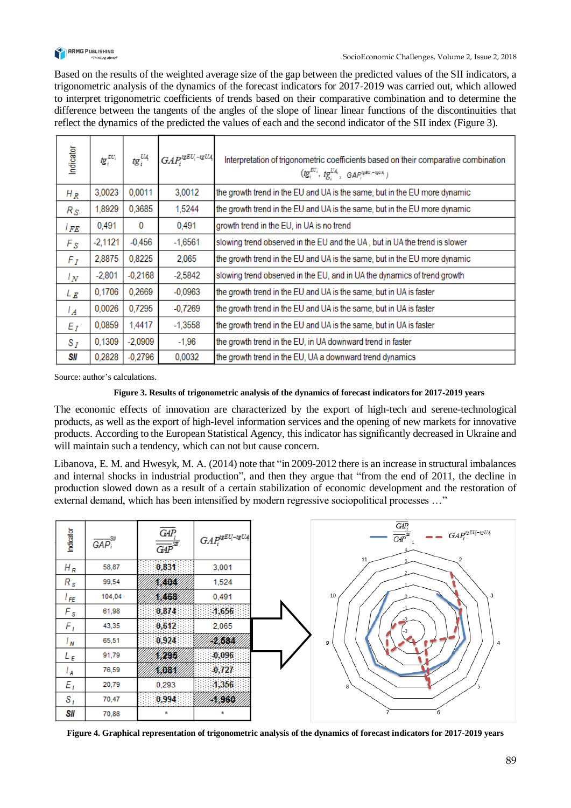

Based on the results of the weighted average size of the gap between the predicted values of the SII indicators, a trigonometric analysis of the dynamics of the forecast indicators for 2017-2019 was carried out, which allowed to interpret trigonometric coefficients of trends based on their comparative combination and to determine the difference between the tangents of the angles of the slope of linear linear functions of the discontinuities that reflect the dynamics of the predicted the values of each and the second indicator of the SII index (Figure 3).

| Indicator       | tg $_i^{\varepsilon u_i}$ | tg $_{i}^{\mathrm{U4}}$ | $GAP_i^{t\mathsf{g} EU_i-t\mathsf{g} U\mathsf{A}}$ | Interpretation of trigonometric coefficients based on their comparative combination<br>$(tg_i^{EU_i}, tg_i^{UA_i}, \text{ GAP}_i^{ueu_i-10UA})$ |  |
|-----------------|---------------------------|-------------------------|----------------------------------------------------|-------------------------------------------------------------------------------------------------------------------------------------------------|--|
| $H_R$           | 3,0023                    | 0,0011                  | 3,0012                                             | the growth trend in the EU and UA is the same, but in the EU more dynamic                                                                       |  |
| $R_{S}$         | 1,8929                    | 0,3685                  | 1,5244                                             | the growth trend in the EU and UA is the same, but in the EU more dynamic                                                                       |  |
| l FE            | 0,491                     | 0                       | 0,491                                              | growth trend in the EU, in UA is no trend                                                                                                       |  |
| $F_{S}$         | $-2,1121$                 | $-0,456$                | $-1,6561$                                          | slowing trend observed in the EU and the UA, but in UA the trend is slower                                                                      |  |
| $F_I$           | 2,8875                    | 0,8225                  | 2,065                                              | the growth trend in the EU and UA is the same, but in the EU more dynamic                                                                       |  |
| $l_N$           | $-2,801$                  | $-0,2168$               | $-2,5842$                                          | slowing trend observed in the EU, and in UA the dynamics of trend growth                                                                        |  |
| $L_{R}$         | 0,1706                    | 0,2669                  | $-0.0963$                                          | the growth trend in the EU and UA is the same, but in UA is faster                                                                              |  |
| $\mathcal{L}_A$ | 0,0026                    | 0,7295                  | $-0.7269$                                          | the growth trend in the EU and UA is the same, but in UA is faster                                                                              |  |
| $E_I$           | 0,0859                    | 1,4417                  | $-1,3558$                                          | the growth trend in the EU and UA is the same, but in UA is faster                                                                              |  |
| $S_I$           | 0.1309                    | $-2,0909$               | $-1.96$                                            | the growth trend in the EU, in UA downward trend in faster                                                                                      |  |
| SII             | 0,2828                    | $-0.2796$               | 0,0032                                             | the growth trend in the EU, UA a downward trend dynamics                                                                                        |  |

Source: author's calculations.

#### **Figure 3. Results of trigonometric analysis of the dynamics of forecast indicators for 2017-2019 years**

The economic effects of innovation are characterized by the export of high-tech and serene-technological products, as well as the export of high-level information services and the opening of new markets for innovative products. According to the European Statistical Agency, this indicator has significantly decreased in Ukraine and will maintain such a tendency, which can not but cause concern.

Libanova, E. M. and Hwesyk, M. А. (2014) note that "in 2009-2012 there is an increase in structural imbalances and internal shocks in industrial production", and then they argue that "from the end of 2011, the decline in production slowed down as a result of a certain stabilization of economic development and the restoration of external demand, which has been intensified by modern regressive sociopolitical processes ..."

| Indicator         | -SII<br>$GAP_i$ | $\overline{GAP_i}$<br>$\overline{GAP}^{\mathcal{A}\mathcal{P}}$ | $GAP_i^{t\mathbf{g}EU_i\text{-}t\mathbf{g}U4}$ | $\overline{GAP_i}$<br>$\qquad \qquad \bullet \qquad GAP_i^{teEU_i-teU4}$<br>$\overline{GAP}^{\mathcal{G}}$<br>2 |
|-------------------|-----------------|-----------------------------------------------------------------|------------------------------------------------|-----------------------------------------------------------------------------------------------------------------|
| $H_R$             | 58,87           | 0,831                                                           | 3,001                                          | 11                                                                                                              |
| $R_{s}$           | 99,54           | 404                                                             | 1,524                                          |                                                                                                                 |
| l FE.             | 104,04          | 468                                                             | 0,491                                          | 10<br>3                                                                                                         |
| $F_{\mathcal{S}}$ | 61,98           | 0,874                                                           | $-1,656$                                       |                                                                                                                 |
| $F_{I}$           | 43,35           | 0,612                                                           | 2,065                                          |                                                                                                                 |
| $^{\prime}$ N     | 65,51           | 0,924                                                           | 2458A                                          | 9<br>4                                                                                                          |
| L E               | 91,79           | 295                                                             | $-0,096$                                       |                                                                                                                 |
| $^I$ A            | 76,59           | 7004                                                            | $-0,727$                                       |                                                                                                                 |
| $E_I$             | 20,79           | 0,293                                                           | $-1,356$                                       | 8                                                                                                               |
| $S_{I}$           | 70,47           | 0,994                                                           | <b>XBSX</b>                                    |                                                                                                                 |
| SII               | 70,88           | $\pm$                                                           | Ŧ.                                             | 6                                                                                                               |

**Figure 4. Graphical representation of trigonometric analysis of the dynamics of forecast indicators for 2017-2019 years**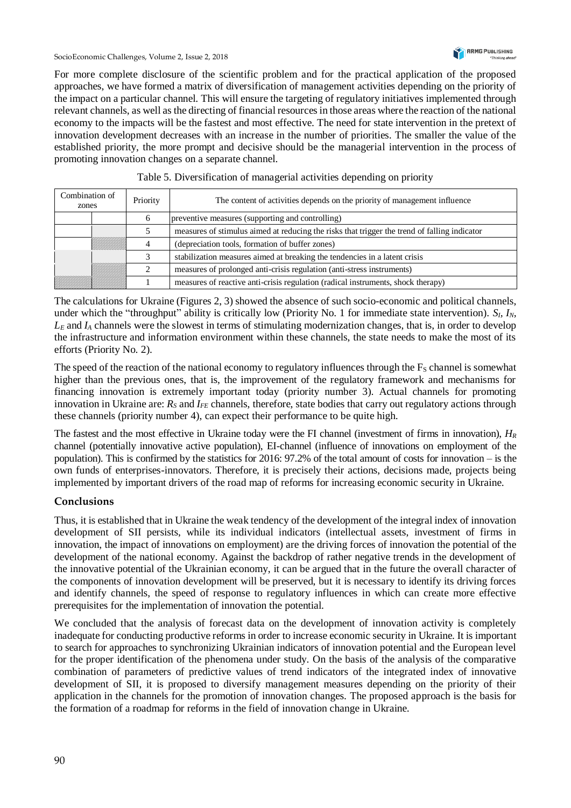SocioEconomic Challenges, Volume 2, Issue 2, 2018



For more complete disclosure of the scientific problem and for the practical application of the proposed approaches, we have formed a matrix of diversification of management activities depending on the priority of the impact on a particular channel. This will ensure the targeting of regulatory initiatives implemented through relevant channels, as well as the directing of financial resources in those areas where the reaction of the national economy to the impacts will be the fastest and most effective. The need for state intervention in the pretext of innovation development decreases with an increase in the number of priorities. The smaller the value of the established priority, the more prompt and decisive should be the managerial intervention in the process of promoting innovation changes on a separate channel.

| Combination of<br>zones |  | Priority | The content of activities depends on the priority of management influence                    |
|-------------------------|--|----------|----------------------------------------------------------------------------------------------|
| 6                       |  |          | preventive measures (supporting and controlling)                                             |
|                         |  |          | measures of stimulus aimed at reducing the risks that trigger the trend of falling indicator |
|                         |  |          | (depreciation tools, formation of buffer zones)                                              |
|                         |  | 2        | stabilization measures aimed at breaking the tendencies in a latent crisis                   |
|                         |  |          | measures of prolonged anti-crisis regulation (anti-stress instruments)                       |
|                         |  |          | measures of reactive anti-crisis regulation (radical instruments, shock therapy)             |

## Table 5. Diversification of managerial activities depending on priority

The calculations for Ukraine (Figures 2, 3) showed the absence of such socio-economic and political channels, under which the "throughput" ability is critically low (Priority No. 1 for immediate state intervention). *S<sub>I</sub>*, *I<sub>N</sub>*,  $L<sub>E</sub>$  and  $I<sub>A</sub>$  channels were the slowest in terms of stimulating modernization changes, that is, in order to develop the infrastructure and information environment within these channels, the state needs to make the most of its efforts (Priority No. 2).

The speed of the reaction of the national economy to regulatory influences through the  $F<sub>S</sub>$  channel is somewhat higher than the previous ones, that is, the improvement of the regulatory framework and mechanisms for financing innovation is extremely important today (priority number 3). Actual channels for promoting innovation in Ukraine are: *R<sup>S</sup>* and *IFE* channels, therefore, state bodies that carry out regulatory actions through these channels (priority number 4), can expect their performance to be quite high.

The fastest and the most effective in Ukraine today were the FI channel (investment of firms in innovation), *H<sup>R</sup>* channel (potentially innovative active population), EI-channel (influence of innovations on employment of the population). This is confirmed by the statistics for 2016: 97.2% of the total amount of costs for innovation ‒ is the own funds of enterprises-innovators. Therefore, it is precisely their actions, decisions made, projects being implemented by important drivers of the road map of reforms for increasing economic security in Ukraine.

# **Conclusions**

Thus, it is established that in Ukraine the weak tendency of the development of the integral index of innovation development of SII persists, while its individual indicators (intellectual assets, investment of firms in innovation, the impact of innovations on employment) are the driving forces of innovation the potential of the development of the national economy. Against the backdrop of rather negative trends in the development of the innovative potential of the Ukrainian economy, it can be argued that in the future the overall character of the components of innovation development will be preserved, but it is necessary to identify its driving forces and identify channels, the speed of response to regulatory influences in which can create more effective prerequisites for the implementation of innovation the potential.

We concluded that the analysis of forecast data on the development of innovation activity is completely inadequate for conducting productive reforms in order to increase economic security in Ukraine. It is important to search for approaches to synchronizing Ukrainian indicators of innovation potential and the European level for the proper identification of the phenomena under study. On the basis of the analysis of the comparative combination of parameters of predictive values of trend indicators of the integrated index of innovative development of SII, it is proposed to diversify management measures depending on the priority of their application in the channels for the promotion of innovation changes. The proposed approach is the basis for the formation of a roadmap for reforms in the field of innovation change in Ukraine.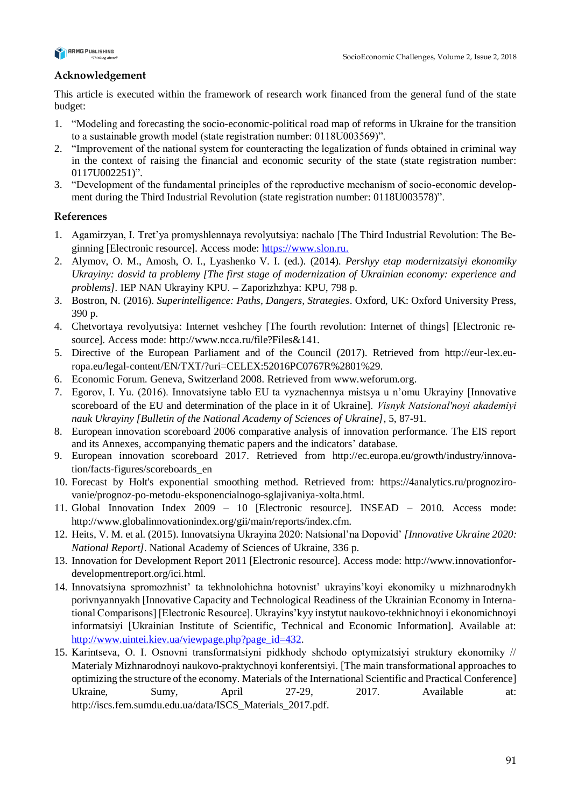

# **Acknowledgement**

This article is executed within the framework of research work financed from the general fund of the state budget:

- 1. "Modeling and forecasting the socio-economic-political road map of reforms in Ukraine for the transition to a sustainable growth model (state registration number: 0118U003569)".
- 2. "Improvement of the national system for counteracting the legalization of funds obtained in criminal way in the context of raising the financial and economic security of the state (state registration number: 0117U002251)".
- 3. "Development of the fundamental principles of the reproductive mechanism of socio-economic development during the Third Industrial Revolution (state registration number: 0118U003578)".

# **References**

- 1. Agamirzyan, I. Tret'ya promyshlennaya revolyutsiya: nachalo [The Third Industrial Revolution: The Beginning [Electronic resource]. Access mode: [https://www.slon.ru.](https://www.slon.ru/)
- 2. Alymov, O. M., Amosh, O. I., Lyashenko V. I. (ed.). (2014). *Pershyy etap modernizatsiyi ekonomiky Ukrayiny: dosvid ta problemy [The first stage of modernization of Ukrainian economy: experience and problems].* IEP NAN Ukrayiny KPU. – Zaporizhzhya: KPU, 798 p.
- 3. Bostron, N. (2016). *Superintelligence: Paths, Dangers, Strategies*. Oxford, UK: Oxford University Press, 390 p.
- 4. Chetvortaya revolyutsiya: Internet veshchey [The fourth revolution: Internet of things] [Electronic resource]. Access mode: http://www.ncca.ru/file?Files&141.
- 5. Directive of the European Parliament and of the Council (2017). Retrieved from http://eur-lex.europa.eu/legal-content/EN/TXT/?uri=CELEX:52016PC0767R%2801%29.
- 6. Economic Forum. Geneva, Switzerland 2008. Retrieved from [www.weforum.org.](http://www.weforum.org/)
- 7. Egorov, I. Yu. (2016). Innovatsiyne tablo EU ta vyznachennya mistsya u n'omu Ukrayiny [Innovative scoreboard of the EU and determination of the place in it of Ukraine]. *Visnyk Natsionalʹnoyi akademiyi nauk Ukrayiny [Bulletin of the National Academy of Sciences of Ukraine]*, 5, 87-91.
- 8. European innovation scoreboard 2006 comparative analysis of innovation performance. The EIS report and its Annexes, accompanying thematic papers and the indicators' database.
- 9. European innovation scoreboard 2017. Retrieved from http://ec.europa.eu/growth/industry/innovation/facts-figures/scoreboards\_en
- 10. Forecast by Holt's exponential smoothing method. Retrieved from: https://4analytics.ru/prognozirovanie/prognoz-po-metodu-eksponencialnogo-sglajivaniya-xolta.html.
- 11. Global Innovation Index 2009 10 [Electronic resource]. INSEAD 2010. Access mode: http://www.globalinnovationindex.org/gii/main/reports/index.cfm.
- 12. Heits, V. M. et al. (2015). Innovatsiyna Ukrayina 2020: Natsional'na Dopovid' *[Innovative Ukraine 2020: National Report]*. National Academy of Sciences of Ukraine, 336 p.
- 13. Innovation for Development Report 2011 [Electronic resource]. Access mode: http://www.innovationfordevelopmentreport.org/ici.html.
- 14. Innovatsiyna spromozhnist' ta tekhnolohichna hotovnist' ukrayins'koyi ekonomiky u mizhnarodnykh porivnyannyakh [Innovative Capacity and Technological Readiness of the Ukrainian Economy in International Comparisons] [Electronic Resource]. Ukrayins'kyy instytut naukovo-tekhnichnoyi i ekonomichnoyi informatsiyi [Ukrainian Institute of Scientific, Technical and Economic Information]. Available at: [http://www.uintei.kiev.ua/viewpage.php?page\\_id=432.](http://www.uintei.kiev.ua/viewpage.php?page_id=432)
- 15. Karintseva, О. І. Osnovni transformatsiyni pidkhody shchodo optymizatsiyi struktury ekonomiky // Materialy Mizhnarodnoyi naukovo-praktychnoyi konferentsiyi. [The main transformational approaches to optimizing the structure of the economy. Materials of the International Scientific and Practical Conference] Ukraine, Sumy, April 27-29, 2017. Available at: http://iscs.fem.sumdu.edu.ua/data/ISCS\_Materials\_2017.pdf.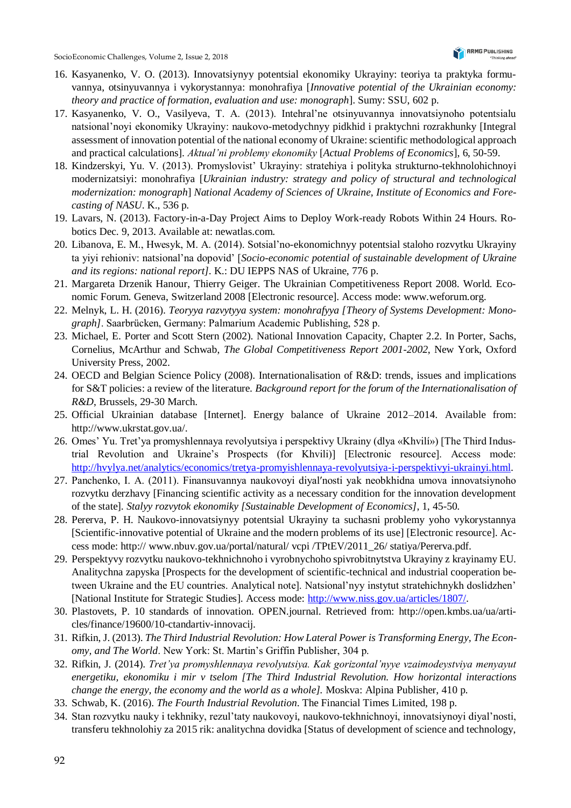- 16. Kasyanenko, V. O. (2013). Innovatsiynyy potentsial ekonomiky Ukrayiny: teoriya ta praktyka formuvannya, otsinyuvannya i vykorystannya: monohrafiya [*Innovative potential of the Ukrainian economy: theory and practice of formation, evaluation and use: monograph*]. Sumy: SSU, 602 p.
- 17. Kasyanenko, V. O., Vasilyeva, Т. А. (2013). Intehral'ne otsinyuvannya innovatsiynoho potentsialu natsional'noyi ekonomiky Ukrayiny: naukovo-metodychnyy pidkhid i praktychni rozrakhunky [Integral assessment of innovation potential of the national economy of Ukraine: scientific methodological approach and practical calculations]. *Aktual'ni problemy ekonomiky* [*Actual Problems of Economics*], 6, 50-59.
- 18. Kindzerskyi, Yu. V. (2013). Promyslovist' Ukrayiny: stratehiya i polityka strukturno-tekhnolohichnoyi modernizatsiyi: monohrafiya [*Ukrainian industry: strategy and policy of structural and technological modernization: monograph*] *National Academy of Sciences of Ukraine, Institute of Economics and Forecasting of NASU*. K., 536 p.
- 19. Lavars, N. (2013). Factory-in-a-Day Project Aims to Deploy Work-ready Robots Within 24 Hours. Robotics Dec. 9, 2013. Available at: newatlas.com.
- 20. Libanova, E. M., Hwesyk, M. А. (2014). Sotsial'no-ekonomichnyy potentsial staloho rozvytku Ukrayiny ta yiyi rehioniv: natsional'na dopovid' [*Socio-economic potential of sustainable development of Ukraine and its regions: national report]*. K.: DU IEPPS NAS of Ukraine, 776 p.
- 21. Margareta Drzenik Hanour, Thierry Geiger. The Ukrainian Competitiveness Report 2008. World. Economic Forum. Geneva, Switzerland 2008 [Electronic resource]. Access mode: www.weforum.org.
- 22. Melnyk, L. H. (2016). *Teoryya razvytyya system: monohrafyya [Theory of Systems Development: Monograph]*. Saarbrücken, Germany: Palmarium Academic Publishing, 528 p.
- 23. Michael, E. Porter and Scott Stern (2002). National Innovation Capacity, Chapter 2.2. In Porter, Sachs, Cornelius, McArthur and Schwab, *The Global Competitiveness Report 2001-2002*, New York, Oxford University Press, 2002.
- 24. OECD and Belgian Science Policy (2008). Internationalisation of R&D: trends, issues and implications for S&T policies: a review of the literature. *Background report for the forum of the Internationalisation of R&D*, Brussels, 29-30 March.
- 25. Official Ukrainian database [Internet]. Energy balance of Ukraine 2012–2014. Available from: http://www.ukrstat.gov.ua/.
- 26. Omes' Yu. Tret'ya promyshlennaya revolyutsiya i perspektivy Ukrainy (dlya «Khvilí») [The Third Industrial Revolution and Ukraine's Prospects (for Khvili)] [Electronic resource]. Access mode: [http://hvylya.net/analytics/economics/tretya-promyishlennaya-revolyutsiya-i-perspektivyi-ukrainyi.html.](http://hvylya.net/analytics/economics/tretya-promyishlennaya-revolyutsiya-i-perspektivyi-ukrainyi.html)
- 27. Panchenko, I. A. (2011). Finansuvannya naukovoyi diyalʹnosti yak neobkhidna umova innovatsiynoho rozvytku derzhavy [Financing scientific activity as a necessary condition for the innovation development of the state]. *Stalyy rozvytok ekonomiky [Sustainable Development of Economics]*, 1, 45-50.
- 28. Pererva, P. H. Naukovo-innovatsiynyy potentsial Ukrayiny ta suchasni problemy yoho vykorystannya [Scientific-innovative potential of Ukraine and the modern problems of its use] [Electronic resource]. Access mode: http:// www.nbuv.gov.ua/portal/natural/ vcpi /TPtEV/2011\_26/ statiya/Pererva.pdf.
- 29. Perspektyvy rozvytku naukovo-tekhnichnoho i vyrobnychoho spivrobitnytstva Ukrayiny z krayinamy EU. Analitychna zapyska [Prospects for the development of scientific-technical and industrial cooperation between Ukraine and the EU countries. Analytical note]. Natsional'nyy instytut stratehichnykh doslidzhen' [National Institute for Strategic Studies]. Access mode: [http://www.niss.gov.ua/articles/1807/.](http://www.niss.gov.ua/articles/1807/)
- 30. Plastovets, P. 10 standards of innovation. OPEN.journal. Retrieved from: http://open.kmbs.ua/ua/articles/finance/19600/10-ctandartiv-innovacij.
- 31. Rifkin, J. (2013). *The Third Industrial Revolution: How Lateral Power is Transforming Energy, The Economy, and The World*. New York: St. Martin's Griffin Publisher, 304 p.
- 32. Rifkin, J. (2014). *Tret'ya promyshlennaya revolyutsiya. Kak gorizontal'nyye vzaimodeystviya menyayut energetiku, ekonomiku i mir v tselom [The Third Industrial Revolution. How horizontal interactions change the energy, the economy and the world as a whole].* Moskva: Alpina Publisher, 410 p.
- 33. Schwab, K. (2016). *The Fourth Industrial Revolution*. The Financial Times Limited, 198 p.
- 34. Stan rozvytku nauky i tekhniky, rezul'taty naukovoyi, naukovo-tekhnichnoyi, innovatsiynoyi diyal'nosti, transferu tekhnolohiy za 2015 rik: analitychna dovidka [Status of development of science and technology,